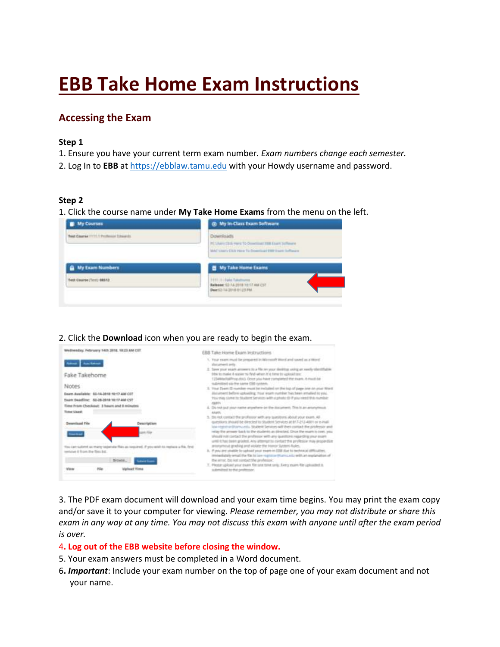# **EBB Take Home Exam Instructions**

# **Accessing the Exam**

#### **Step 1**

1. Ensure you have your current term exam number. *Exam numbers change each semester.* 

2. Log In to **EBB** at [https://ebblaw.tamu.edu](https://ebblaw.tamu.edu/) with your Howdy username and password.

#### **Step 2**

1. Click the course name under **My Take Home Exams** from the menu on the left.

| <b>My Courses</b>                     | @ My In-Class Exam Software                                                                                                         |  |
|---------------------------------------|-------------------------------------------------------------------------------------------------------------------------------------|--|
| Text Course 1771.1 Professor Elizards | <b>Downloads</b><br>PE Likero CEOA Harry To Commisser 1999 Essex pollusure<br>MAC Livery Citch Here To Download 2007 Expir Software |  |
| <b>Q</b> My Exam Numbers              | <b>B</b> My Take Home Exams                                                                                                         |  |
| Test Course (Test) 88512              | 1111 S. Sale Takelhome<br>Belease 10-14-2018 10:17 AM CST<br>DMKS3 14 3018 8125 FM                                                  |  |

#### 2. Click the **Download** icon when you are ready to begin the exam.

| Wednesday, February 14th 3818, 19:23 AM CET.                                                                                                  | EBB Take Home Exam Instructions.                                                                                                                                                                                                                          |
|-----------------------------------------------------------------------------------------------------------------------------------------------|-----------------------------------------------------------------------------------------------------------------------------------------------------------------------------------------------------------------------------------------------------------|
| and Ambers                                                                                                                                    | 1. Your exercitived be prepared in WomenPr Word and saved as a Word<br>shoursent prily                                                                                                                                                                    |
| Fake Takehome                                                                                                                                 | 2. Save your years arowers to a fits on year dealing using an week sheriffulde.<br>title to make it asserts find when it's time to upload one.<br>12) attractable cap doc). Once you have completed the exam. It must be                                  |
| Notes:                                                                                                                                        | submitted via the same GBB cycom.<br>3. Your Zuien ID number most be included on the top of page one on your Word.                                                                                                                                        |
| Dearm Available: 03-14-2018 10:17 AW CET<br>Exam Deadline 42-26-2018 10:17 AM CST<br>Time Fram Checkout: 3 hours and it minutes<br>Tome Used: | discurrent before uptaining. Your exam number has been entailed to you.<br>Floy that some to finalised Services with a photo (2) if you meet this number.<br>201831<br>A. Do not put your name anywhere perthe document. This is an anonymical<br>Arkans. |
| Desembard File<br>Description                                                                                                                 | 3. So not contact the professor with any questions about your exam. All .<br>questions should be directed to shudeint Services at 817-212-4001 or e-mail.<br>late reserve distant until 30 dent Senators will their contact the professor and             |
| John Fire                                                                                                                                     | relay the arrower bank to the students as structed. Once the exam is core, you<br>Would not contact the professor with any questions regarding your exam-<br>while it has been grooted. Any attempt by civitat the professor may propordise               |
| You can sultime as many organize than as required. If you wish to replace a file, first<br>lentural: & from the files lot.                    | aronymout griefing and visible the Homor System Rules.<br>A. If you are youtle to uphout your express EBB (lue to technical offloaties,<br>In includely what the fits to be regimes than us to adduct explanation of                                      |
|                                                                                                                                               | the simul data not sunded the professor.                                                                                                                                                                                                                  |
| Stowie,<br><b>Sales Same</b>                                                                                                                  | Y. Please splical your exam file sine tone sing. Every exam file uploasted to                                                                                                                                                                             |

3. The PDF exam document will download and your exam time begins. You may print the exam copy and/or save it to your computer for viewing. *Please remember, you may not distribute or share this exam in any way at any time. You may not discuss this exam with anyone until after the exam period is over.*

#### 4**. Log out of the EBB website before closing the window.**

- 5. Your exam answers must be completed in a Word document.
- 6**.** *Important*: Include your exam number on the top of page one of your exam document and not your name.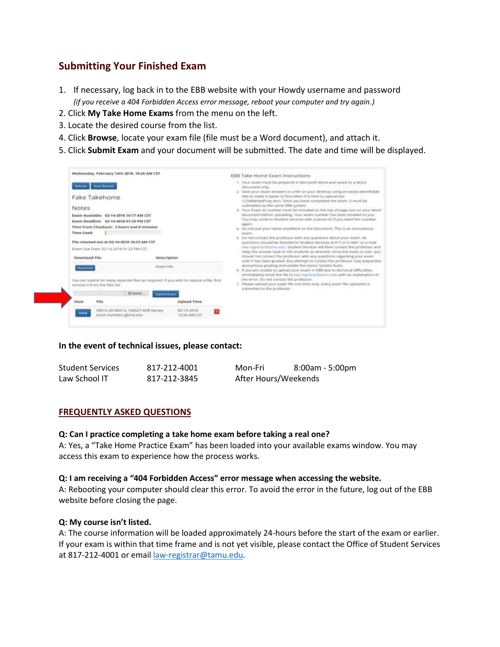## **Submitting Your Finished Exam**

- 1. If necessary, log back in to the EBB website with your Howdy username and password *(if you receive a 404 Forbidden Access error message, reboot your computer and try again.)*
- 2. Click **My Take Home Exams** from the menu on the left.
- 3. Locate the desired course from the list.
- 4. Click **Browse**, locate your exam file (file must be a Word document), and attach it.
- 5. Click **Submit Exam** and your document will be submitted. The date and time will be displayed.

| Wednesday, February 14th 2018, 10(20 AM CST |                                                                                                                                                                                                                                                                         |                                            | <b>EBB Take Home Exam Instructions</b>                                                                                                                                                                                                                                                                                                                                                                                                                                                                                                                                                                                                                                                                                                                                                                                                                                                                                                                                                                                                                                                                      |  |
|---------------------------------------------|-------------------------------------------------------------------------------------------------------------------------------------------------------------------------------------------------------------------------------------------------------------------------|--------------------------------------------|-------------------------------------------------------------------------------------------------------------------------------------------------------------------------------------------------------------------------------------------------------------------------------------------------------------------------------------------------------------------------------------------------------------------------------------------------------------------------------------------------------------------------------------------------------------------------------------------------------------------------------------------------------------------------------------------------------------------------------------------------------------------------------------------------------------------------------------------------------------------------------------------------------------------------------------------------------------------------------------------------------------------------------------------------------------------------------------------------------------|--|
| Notes<br>Time Used:<br>Dewnload File        | <b>Automa Auto Automate</b><br>Fake Takehome<br>Exam Available: 62-14-2018 10:17 AM CST<br>Exam Deadline: 62-14-2018 01:23 PM CST<br>Time from Checkout: 3 hours and 0 minutes<br>File checked put at 02-14-2018 10:23 AM CST<br>Ekam Due Date: 02/14/2018 01:35 PM CST | Description                                | 1. Your exant must be prepared in Microsoft World and saved as a World<br>decument only.<br>2. Save your exam annexers to a file on your desktop using an easily identifiable<br>18th to make it easier to find when it is time to uphied less<br>1234 Warita Prop.duct. Once you have completed the exam. It must be<br>submitted via the same EBB system.<br>3. Your Exam 40 nortiber must be induded on the top of page one on your Word<br>document bidore upstading, Your syare number has been emailed to you.<br>You may come to Student Services with a jihoto ID if you need this number<br>Agians.<br>4. Do not put your hame anywhere on the document. This is an anonymous<br>exami.<br>5. Do not contact the professor with any questions about your exam. All<br>suestions should be directed to Student Services at 817-212-4001 or e-mail.<br>law restition tham a mile. Student Services will their contact the professor and<br>relay the amover back to the students as directed. Once the exam is over, you<br>should not contact the professor with any questions regarding your exam- |  |
| <b>Dreamwood</b>                            |                                                                                                                                                                                                                                                                         | Exam File                                  | until it has been graded. Any attempt to contact the professor may proparitize.<br>anonymous grading and violate the Honor System Rules.<br>8. If you are onable to upload your exam in £88 due to technical difficulties.<br>immediately email the file to law registrat-thorought with an explanation of                                                                                                                                                                                                                                                                                                                                                                                                                                                                                                                                                                                                                                                                                                                                                                                                  |  |
|                                             | You can submit as many seperate files as required. If you with to replace a file, first<br>nimove it from the files list.                                                                                                                                               |                                            | the error. Do not contact the professor,<br>2. Please upbuol your exam file one time only. Every exam file uploaded to<br>aubmitted to the professor.                                                                                                                                                                                                                                                                                                                                                                                                                                                                                                                                                                                                                                                                                                                                                                                                                                                                                                                                                       |  |
| View                                        | :Growse<br>rite                                                                                                                                                                                                                                                         | <b>Schwert Evans</b><br><b>Upload Time</b> |                                                                                                                                                                                                                                                                                                                                                                                                                                                                                                                                                                                                                                                                                                                                                                                                                                                                                                                                                                                                                                                                                                             |  |
|                                             |                                                                                                                                                                                                                                                                         |                                            |                                                                                                                                                                                                                                                                                                                                                                                                                                                                                                                                                                                                                                                                                                                                                                                                                                                                                                                                                                                                                                                                                                             |  |
|                                             | 08512-20180214_102627-ADR Survey                                                                                                                                                                                                                                        | 02-14-2018<br>10:26 AM CST                 |                                                                                                                                                                                                                                                                                                                                                                                                                                                                                                                                                                                                                                                                                                                                                                                                                                                                                                                                                                                                                                                                                                             |  |

#### **In the event of technical issues, please contact:**

| <b>Student Services</b> | 817-212-4001 | Mon-Fri              | 8:00am - 5:00pm |
|-------------------------|--------------|----------------------|-----------------|
| Law School IT           | 817-212-3845 | After Hours/Weekends |                 |

#### **FREQUENTLY ASKED QUESTIONS**

#### **Q: Can I practice completing a take home exam before taking a real one?**

A: Yes, a "Take Home Practice Exam" has been loaded into your available exams window. You may access this exam to experience how the process works.

#### **Q: I am receiving a "404 Forbidden Access" error message when accessing the website.**

A: Rebooting your computer should clear this error. To avoid the error in the future, log out of the EBB website before closing the page.

#### **Q: My course isn't listed.**

A: The course information will be loaded approximately 24-hours before the start of the exam or earlier. If your exam is within that time frame and is not yet visible, please contact the Office of Student Services at 817-212-4001 or emai[l law-registrar@tamu.edu.](mailto:law-registrar@tamu.edu)